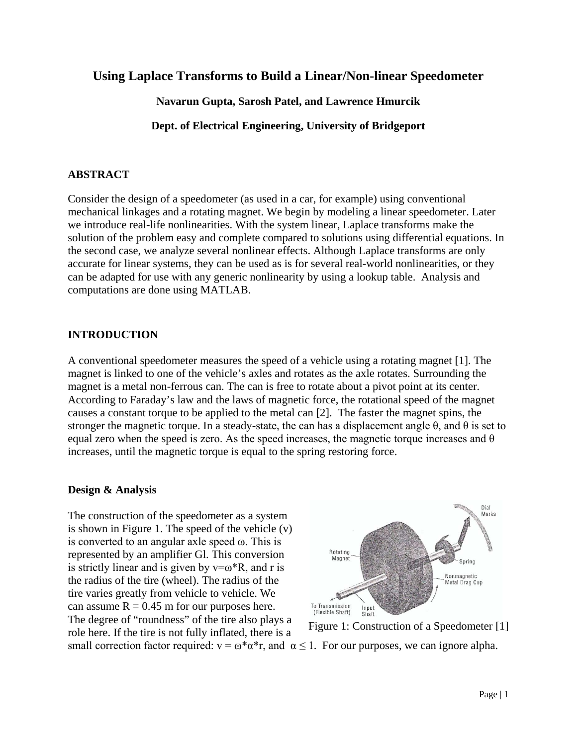# **Using Laplace Transforms to Build a Linear/Non-linear Speedometer**

**Navarun Gupta, Sarosh Patel, and Lawrence Hmurcik**

**Dept. of Electrical Engineering, University of Bridgeport**

## **ABSTRACT**

Consider the design of a speedometer (as used in a car, for example) using conventional mechanical linkages and a rotating magnet. We begin by modeling a linear speedometer. Later we introduce real-life nonlinearities. With the system linear, Laplace transforms make the solution of the problem easy and complete compared to solutions using differential equations. In the second case, we analyze several nonlinear effects. Although Laplace transforms are only accurate for linear systems, they can be used as is for several real-world nonlinearities, or they can be adapted for use with any generic nonlinearity by using a lookup table. Analysis and computations are done using MATLAB.

### **INTRODUCTION**

A conventional speedometer measures the speed of a vehicle using a rotating magnet [1]. The magnet is linked to one of the vehicle's axles and rotates as the axle rotates. Surrounding the magnet is a metal non-ferrous can. The can is free to rotate about a pivot point at its center. According to Faraday's law and the laws of magnetic force, the rotational speed of the magnet causes a constant torque to be applied to the metal can [2]. The faster the magnet spins, the stronger the magnetic torque. In a steady-state, the can has a displacement angle  $\theta$ , and  $\theta$  is set to equal zero when the speed is zero. As the speed increases, the magnetic torque increases and  $\theta$ increases, until the magnetic torque is equal to the spring restoring force.

### **Design & Analysis**

The construction of the speedometer as a system is shown in Figure 1. The speed of the vehicle (v) is converted to an angular axle speed ω. This is represented by an amplifier Gl. This conversion is strictly linear and is given by  $v = \omega^*R$ , and r is the radius of the tire (wheel). The radius of the tire varies greatly from vehicle to vehicle. We can assume  $R = 0.45$  m for our purposes here. The degree of "roundness" of the tire also plays a role here. If the tire is not fully inflated, there is a



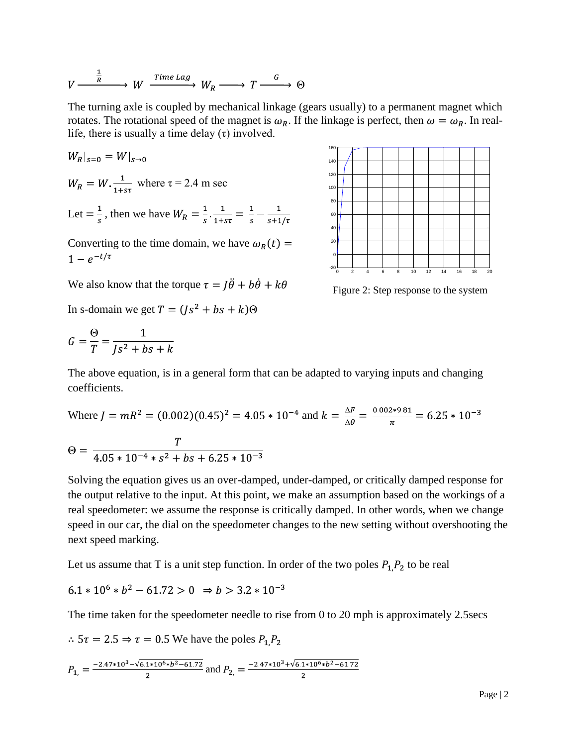$$
V \xrightarrow{\frac{1}{R}} W \xrightarrow{\text{Time } \text{Lag}} W_R \longrightarrow T \xrightarrow{G} \Theta
$$

The turning axle is coupled by mechanical linkage (gears usually) to a permanent magnet which rotates. The rotational speed of the magnet is  $\omega_R$ . If the linkage is perfect, then  $\omega = \omega_R$ . In reallife, there is usually a time delay  $(\tau)$  involved.

$$
W_R|_{s=0} = W|_{s\to 0}
$$
  
 
$$
W_R = W \cdot \frac{1}{1+s\tau} \text{ where } \tau = 2.4 \text{ m sec}
$$
  
 Let  $= \frac{1}{s}$ , then we have  $W_R = \frac{1}{s} \cdot \frac{1}{1+s\tau} = \frac{1}{s} - \frac{1}{s+1/\tau}$ 

Converting to the time domain, we have  $\omega_R(t)$  =  $1 - e^{-t/\tau}$ 



Figure 2: Step response to the system

We also know that the torque  $\tau = I\ddot{\theta} + b\dot{\theta} + k\theta$ 

In s-domain we get  $T = (Is<sup>2</sup> + bs + k) \Theta$ 

$$
G = \frac{\Theta}{T} = \frac{1}{Js^2 + bs + k}
$$

The above equation, is in a general form that can be adapted to varying inputs and changing coefficients.

Where 
$$
J = mR^2 = (0.002)(0.45)^2 = 4.05 * 10^{-4}
$$
 and  $k = \frac{\Delta F}{\Delta \theta} = \frac{0.002 * 9.81}{\pi} = 6.25 * 10^{-3}$   
\n
$$
\Theta = \frac{T}{4.05 * 10^{-4} * s^2 + bs + 6.25 * 10^{-3}}
$$

Solving the equation gives us an over-damped, under-damped, or critically damped response for the output relative to the input. At this point, we make an assumption based on the workings of a real speedometer: we assume the response is critically damped. In other words, when we change speed in our car, the dial on the speedometer changes to the new setting without overshooting the next speed marking.

Let us assume that T is a unit step function. In order of the two poles  $P_1, P_2$  to be real

$$
6.1 * 10^6 * b^2 - 61.72 > 0 \Rightarrow b > 3.2 * 10^{-3}
$$

The time taken for the speedometer needle to rise from 0 to 20 mph is approximately 2.5secs

 $\therefore$  5 $\tau$  = 2.5  $\Rightarrow$   $\tau$  = 0.5 We have the poles  $P_1, P_2$ 

$$
P_{1,} = \frac{-2.47 \times 10^{3} - \sqrt{6.1 \times 10^{6} \times b^{2} - 61.72}}{2}
$$
 and 
$$
P_{2,} = \frac{-2.47 \times 10^{3} + \sqrt{6.1 \times 10^{6} \times b^{2} - 61.72}}{2}
$$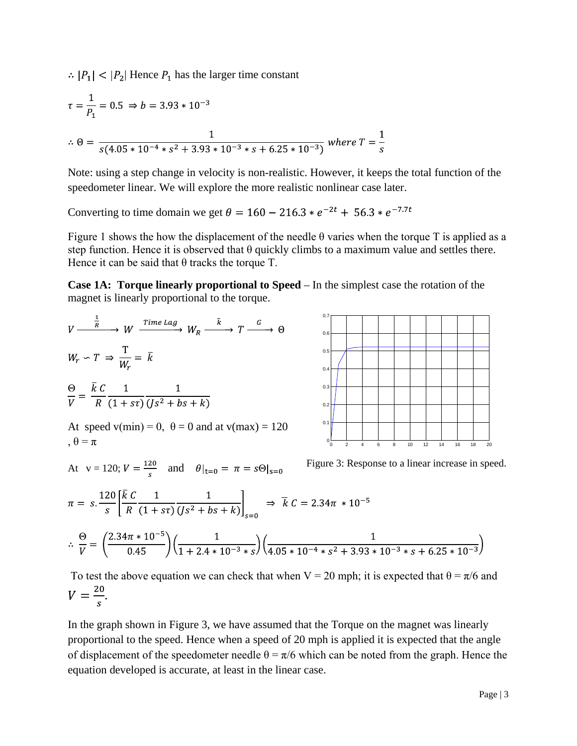$\therefore$   $|P_1|$  <  $|P_2|$  Hence  $P_1$  has the larger time constant

$$
\tau = \frac{1}{P_1} = 0.5 \Rightarrow b = 3.93 \times 10^{-3}
$$
  

$$
\therefore \Theta = \frac{1}{s(4.05 \times 10^{-4} \times s^2 + 3.93 \times 10^{-3} \times s + 6.25 \times 10^{-3})} \text{ where } T = \frac{1}{s}
$$

Note: using a step change in velocity is non-realistic. However, it keeps the total function of the speedometer linear. We will explore the more realistic nonlinear case later.

Converting to time domain we get  $\theta = 160 - 216.3 * e^{-2t} + 56.3 * e^{-7.7t}$ 

Figure 1 shows the how the displacement of the needle  $\theta$  varies when the torque T is applied as a step function. Hence it is observed that  $\theta$  quickly climbs to a maximum value and settles there. Hence it can be said that  $\theta$  tracks the torque T.

**Case 1A: Torque linearly proportional to Speed** – In the simplest case the rotation of the magnet is linearly proportional to the torque.



To test the above equation we can check that when V = 20 mph; it is expected that  $\theta = \pi/6$  and  $V = \frac{20}{s}$ .

In the graph shown in Figure 3, we have assumed that the Torque on the magnet was linearly proportional to the speed. Hence when a speed of 20 mph is applied it is expected that the angle of displacement of the speedometer needle  $\theta = \pi/6$  which can be noted from the graph. Hence the equation developed is accurate, at least in the linear case.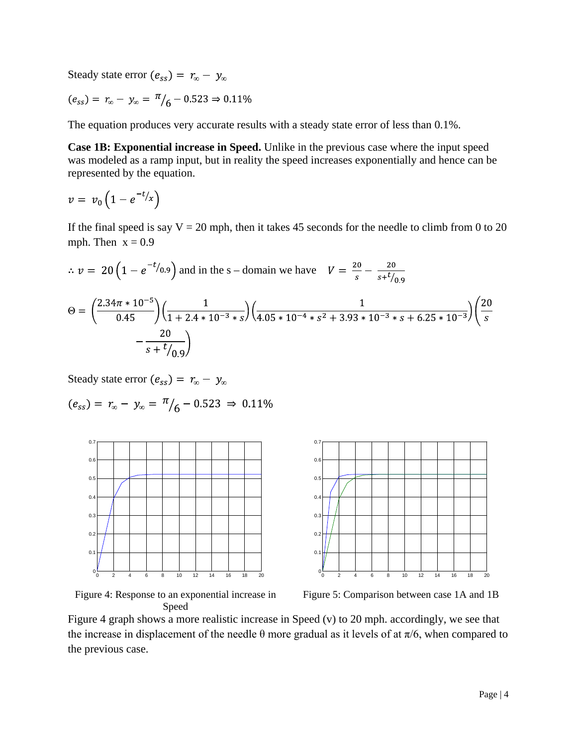Steady state error  $(e_{ss}) = r_{\infty} - y_{\infty}$ 

$$
(e_{ss}) = r_{\infty} - y_{\infty} = \frac{\pi}{6} - 0.523 \Rightarrow 0.11\%
$$

The equation produces very accurate results with a steady state error of less than 0.1%.

**Case 1B: Exponential increase in Speed.** Unlike in the previous case where the input speed was modeled as a ramp input, but in reality the speed increases exponentially and hence can be represented by the equation.

$$
v = v_0 \left( 1 - e^{-t/x} \right)
$$

If the final speed is say  $V = 20$  mph, then it takes 45 seconds for the needle to climb from 0 to 20 mph. Then  $x = 0.9$ 

$$
\therefore v = 20 \left( 1 - e^{-t/0.9} \right) \text{ and in the s - domain we have } V = \frac{20}{s} - \frac{20}{s + t/0.9}
$$
  

$$
\Theta = \left( \frac{2.34\pi \times 10^{-5}}{0.45} \right) \left( \frac{1}{1 + 2.4 \times 10^{-3} \times s} \right) \left( \frac{1}{4.05 \times 10^{-4} \times s^2 + 3.93 \times 10^{-3} \times s + 6.25 \times 10^{-3}} \right) \left( \frac{20}{s} - \frac{20}{s + t/0.9} \right)
$$

Steady state error  $(e_{ss}) = r_{\infty} - y_{\infty}$ 

$$
(e_{ss}) = r_{\infty} - y_{\infty} = \frac{\pi}{6} - 0.523 \Rightarrow 0.11\%
$$





Figure 4: Response to an exponential increase in Speed

Figure 5: Comparison between case 1A and 1B

Figure 4 graph shows a more realistic increase in Speed (v) to 20 mph. accordingly, we see that the increase in displacement of the needle  $\theta$  more gradual as it levels of at  $\pi/6$ , when compared to the previous case.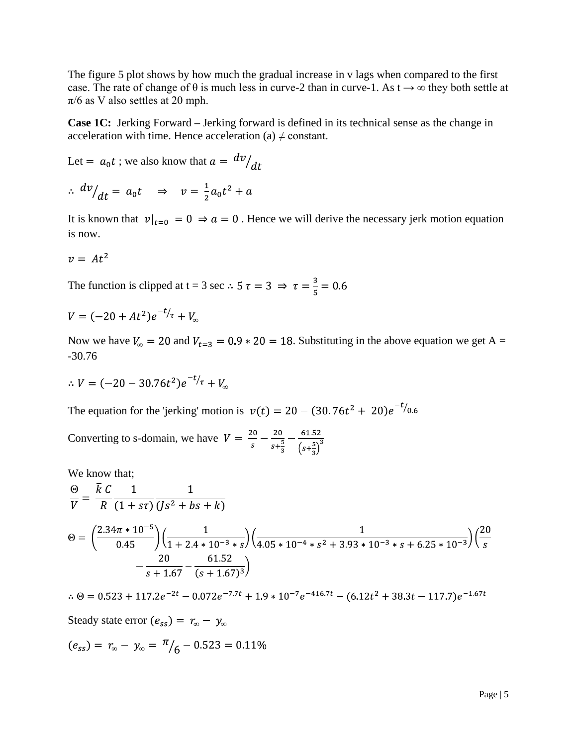The figure 5 plot shows by how much the gradual increase in v lags when compared to the first case. The rate of change of  $\theta$  is much less in curve-2 than in curve-1. As  $t \to \infty$  they both settle at  $\pi/6$  as V also settles at 20 mph.

**Case 1C:** Jerking Forward – Jerking forward is defined in its technical sense as the change in acceleration with time. Hence acceleration (a)  $\neq$  constant.

Let = 
$$
a_0 t
$$
; we also know that  $a = \frac{dv}{dt}$   
\n
$$
\therefore \frac{dv}{dt} = a_0 t \implies v = \frac{1}{2} a_0 t^2 + a
$$

It is known that  $v|_{t=0} = 0 \Rightarrow a = 0$ . Hence we will derive the necessary jerk motion equation is now.

$$
v = At^2
$$

The function is clipped at t = 3 sec  $\therefore$  5  $\tau$  = 3  $\Rightarrow \tau = \frac{3}{5}$  = 0.6

$$
V = (-20 + At^2)e^{-t/\tau} + V_{\infty}
$$

Now we have  $V_{\infty} = 20$  and  $V_{t=3} = 0.9 * 20 = 18$ . Substituting in the above equation we get A = -30.76

$$
\therefore V = (-20 - 30.76t^2)e^{-t/\tau} + V_{\infty}
$$

The equation for the 'jerking' motion is  $v(t) = 20 - (30.76t^2 + 20)e^{-t/0.6t}$ 

Converting to s-domain, we have  $V = \frac{20}{s} - \frac{20}{s + \frac{5}{3}} - \frac{61.52}{(s + \frac{5}{3})^3}$ 

We know that;

$$
\frac{\Theta}{V} = \frac{\overline{k} C}{R} \frac{1}{(1 + s\tau)} \frac{1}{(Js^2 + bs + k)}
$$
  
\n
$$
\Theta = \left(\frac{2.34\pi * 10^{-5}}{0.45}\right) \left(\frac{1}{1 + 2.4 * 10^{-3} * s}\right) \left(\frac{1}{4.05 * 10^{-4} * s^2 + 3.93 * 10^{-3} * s + 6.25 * 10^{-3}}\right) \left(\frac{20}{s} - \frac{20}{s + 1.67} - \frac{61.52}{(s + 1.67)^3}\right)
$$

 $\therefore \Theta = 0.523 + 117.2e^{-2t} - 0.072e^{-7.7t} + 1.9 * 10^{-7}e^{-416.7t} - (6.12t^2 + 38.3t - 117.7)e^{-1.67t}$ Steady state error  $(e_{ss}) = r_{\infty} - y_{\infty}$  $(e_{ss}) = r_{\infty} - y_{\infty} = \frac{\pi}{6} - 0.523 = 0.11\%$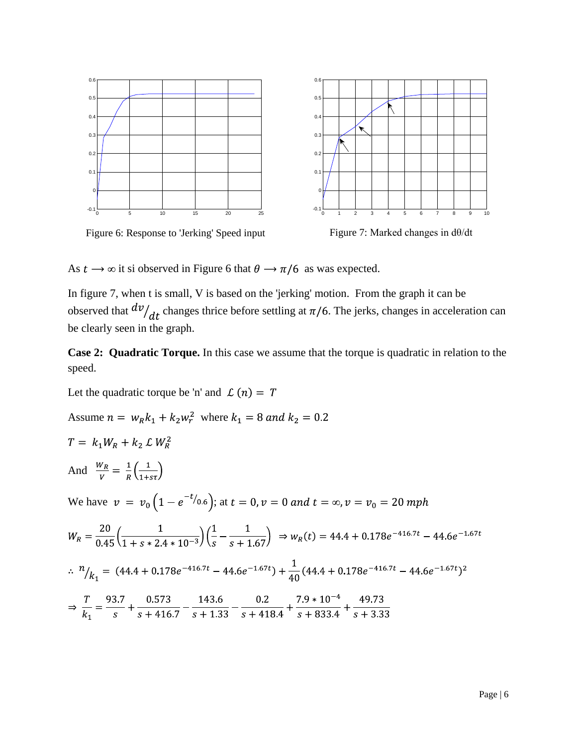

As  $t \to \infty$  it si observed in Figure 6 that  $\theta \to \pi/6$  as was expected.

In figure 7, when t is small, V is based on the 'jerking' motion. From the graph it can be observed that  $dv/dt$  changes thrice before settling at  $\pi/6$ . The jerks, changes in acceleration can be clearly seen in the graph.

**Case 2: Quadratic Torque.** In this case we assume that the torque is quadratic in relation to the speed.

Let the quadratic torque be 'n' and  $\mathcal{L}(n) = T$ 

Assume 
$$
n = w_R k_1 + k_2 w_r^2
$$
 where  $k_1 = 8$  and  $k_2 = 0.2$ 

$$
T = k_1 W_R + k_2 \mathcal{L} W_R^2
$$

And  $\frac{W_R}{V} = \frac{1}{R} \left( \frac{1}{1 + s\tau} \right)$ 

We have  $v = v_0 \left(1 - e^{-t/0.6}\right)$ ; at  $t = 0$ ,  $v = 0$  and  $t = \infty$ ,  $v = v_0 = 20$  mph

$$
W_R = \frac{20}{0.45} \left( \frac{1}{1 + s * 2.4 * 10^{-3}} \right) \left( \frac{1}{s} - \frac{1}{s + 1.67} \right) \Rightarrow w_R(t) = 44.4 + 0.178e^{-416.7t} - 44.6e^{-1.67t}
$$
  
\n
$$
\therefore \frac{n}{k_1} = (44.4 + 0.178e^{-416.7t} - 44.6e^{-1.67t}) + \frac{1}{40} (44.4 + 0.178e^{-416.7t} - 44.6e^{-1.67t})^2
$$
  
\n
$$
\Rightarrow \frac{T}{k_1} = \frac{93.7}{s} + \frac{0.573}{s + 416.7} - \frac{143.6}{s + 1.33} - \frac{0.2}{s + 418.4} + \frac{7.9 * 10^{-4}}{s + 833.4} + \frac{49.73}{s + 3.33}
$$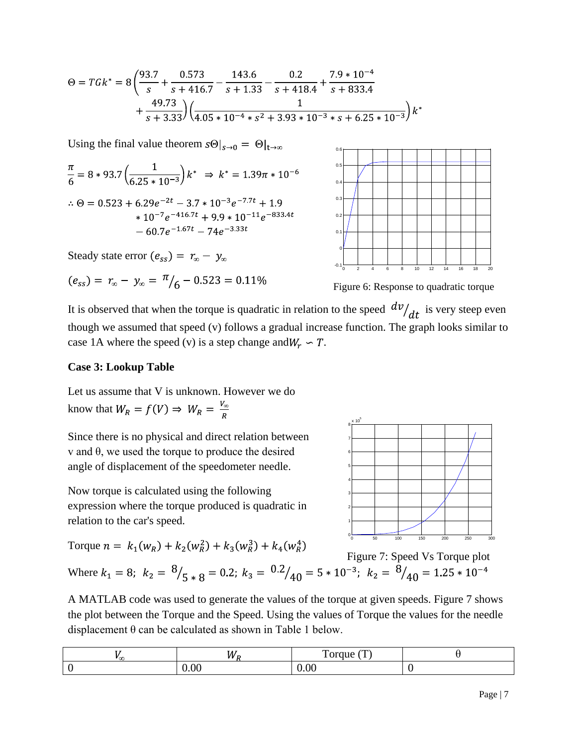$$
\Theta = T G k^* = 8 \left( \frac{93.7}{s} + \frac{0.573}{s + 416.7} - \frac{143.6}{s + 1.33} - \frac{0.2}{s + 418.4} + \frac{7.9 * 10^{-4}}{s + 833.4} + \frac{49.73}{s + 3.33} \right) \left( \frac{1}{4.05 * 10^{-4} * s^2 + 3.93 * 10^{-3} * s + 6.25 * 10^{-3}} \right) k^*
$$

Using the final value theorem  $s\Theta|_{s\to 0} = \Theta|_{t\to\infty}$ 

$$
\frac{\pi}{6} = 8 * 93.7 \left( \frac{1}{6.25 * 10^{-3}} \right) k^* \implies k^* = 1.39\pi * 10^{-6}
$$
\n
$$
\therefore \Theta = 0.523 + 6.29e^{-2t} - 3.7 * 10^{-3}e^{-7.7t} + 1.9
$$
\n
$$
* 10^{-7}e^{-416.7t} + 9.9 * 10^{-11}e^{-833.4t}
$$
\n
$$
- 60.7e^{-1.67t} - 74e^{-3.33t}
$$

Steady state error  $(e_{ss}) = r_{\infty} - y_{\infty}$ 

$$
(e_{ss}) = r_{\infty} - y_{\infty} = \frac{\pi}{6} - 0.523 = 0.11\%
$$



Figure 6: Response to quadratic torque

It is observed that when the torque is quadratic in relation to the speed  $\frac{dv}{dt}$  is very steep even though we assumed that speed (v) follows a gradual increase function. The graph looks similar to case 1A where the speed (v) is a step change and  $W_r \sim T$ .

#### **Case 3: Lookup Table**

Let us assume that V is unknown. However we do know that  $W_R = f(V) \Rightarrow W_R = \frac{V_{\infty}}{R}$ 

Since there is no physical and direct relation between v and θ, we used the torque to produce the desired angle of displacement of the speedometer needle.

Now torque is calculated using the following expression where the torque produced is quadratic in relation to the car's speed.

Torque 
$$
n = k_1(w_R) + k_2(w_R^2) + k_3(w_R^3) + k_4(w_R^4)
$$



Figure 7: Speed Vs Torque plot

Where  $k_1 = 8$ ;  $k_2 = {8 \choose 5 * 8} = 0.2$ ;  $k_3 = {0.2 \choose 40} = 5 * 10^{-3}$ ;  $k_2 = {8 \choose 40} = 1.25 * 10^{-4}$ 

A MATLAB code was used to generate the values of the torque at given speeds. Figure 7 shows the plot between the Torque and the Speed. Using the values of Torque the values for the needle displacement θ can be calculated as shown in Table 1 below.

| . .<br>w | —<br>_____ |  |
|----------|------------|--|
|          |            |  |